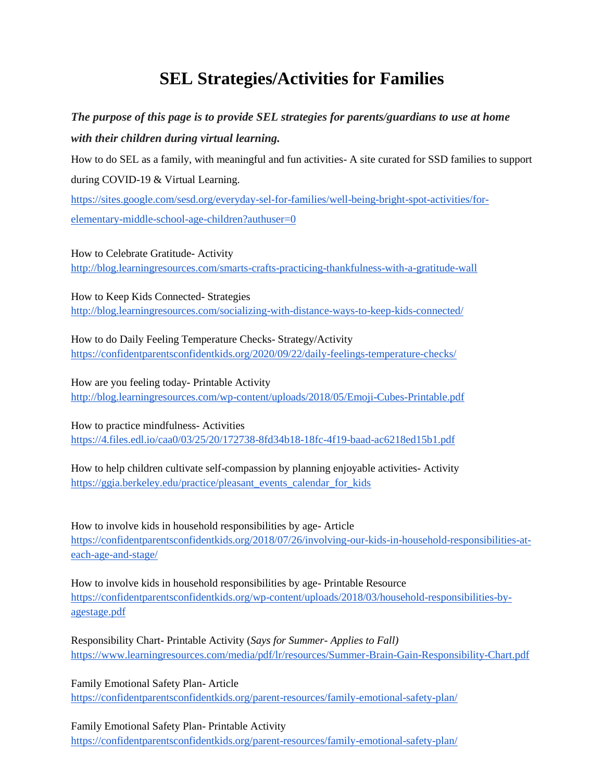# **SEL Strategies/Activities for Families**

## *The purpose of this page is to provide SEL strategies for parents/guardians to use at home with their children during virtual learning.*

How to do SEL as a family, with meaningful and fun activities- A site curated for SSD families to support during COVID-19 & Virtual Learning.

https://sites.google.com/sesd.org/everyday-sel-for-families/well-being-bright-spot-activities/forelementary-middle-school-age-children?authuser=0

How to Celebrate Gratitude- Activity [http://blog.learningresources.com/smarts-crafts-practicing-thankfulness-with-a-gratitude-wall](http://blog.learningresources.com/smarts-crafts-practicing-thankfulness-with-a-gratitude-wall/)

How to Keep Kids Connected- Strategies <http://blog.learningresources.com/socializing-with-distance-ways-to-keep-kids-connected/>

How to do Daily Feeling Temperature Checks- Strategy/Activity https://confidentparentsconfidentkids.org/2020/09/22/daily-feelings-temperature-checks/

How are you feeling today- Printable Activity <http://blog.learningresources.com/wp-content/uploads/2018/05/Emoji-Cubes-Printable.pdf>

How to practice mindfulness- Activities https://4.files.edl.io/caa0/03/25/20/172738-8fd34b18-18fc-4f19-baad-ac6218ed15b1.pdf

How to help children cultivate self-compassion by planning enjoyable activities- Activity https://ggia.berkeley.edu/practice/pleasant\_events\_calendar\_for\_kids

How to involve kids in household responsibilities by age- Article [https://confidentparentsconfidentkids.org/2018/07/26/involving-our-kids-in-household-responsibilities-at](https://confidentparentsconfidentkids.org/2018/07/26/involving-our-kids-in-household-responsibilities-at-each-age-and-stage/)[each-age-and-stage/](https://confidentparentsconfidentkids.org/2018/07/26/involving-our-kids-in-household-responsibilities-at-each-age-and-stage/)

How to involve kids in household responsibilities by age- Printable Resource [https://confidentparentsconfidentkids.org/wp-content/uploads/2018/03/household-responsibilities-by](https://confidentparentsconfidentkids.org/wp-content/uploads/2018/03/household-responsibilities-by-agestage.pdf)[agestage.pdf](https://confidentparentsconfidentkids.org/wp-content/uploads/2018/03/household-responsibilities-by-agestage.pdf)

Responsibility Chart- Printable Activity (*Says for Summer- Applies to Fall)* <https://www.learningresources.com/media/pdf/lr/resources/Summer-Brain-Gain-Responsibility-Chart.pdf>

Family Emotional Safety Plan- Article <https://confidentparentsconfidentkids.org/parent-resources/family-emotional-safety-plan/>

Family Emotional Safety Plan- Printable Activity <https://confidentparentsconfidentkids.org/parent-resources/family-emotional-safety-plan/>